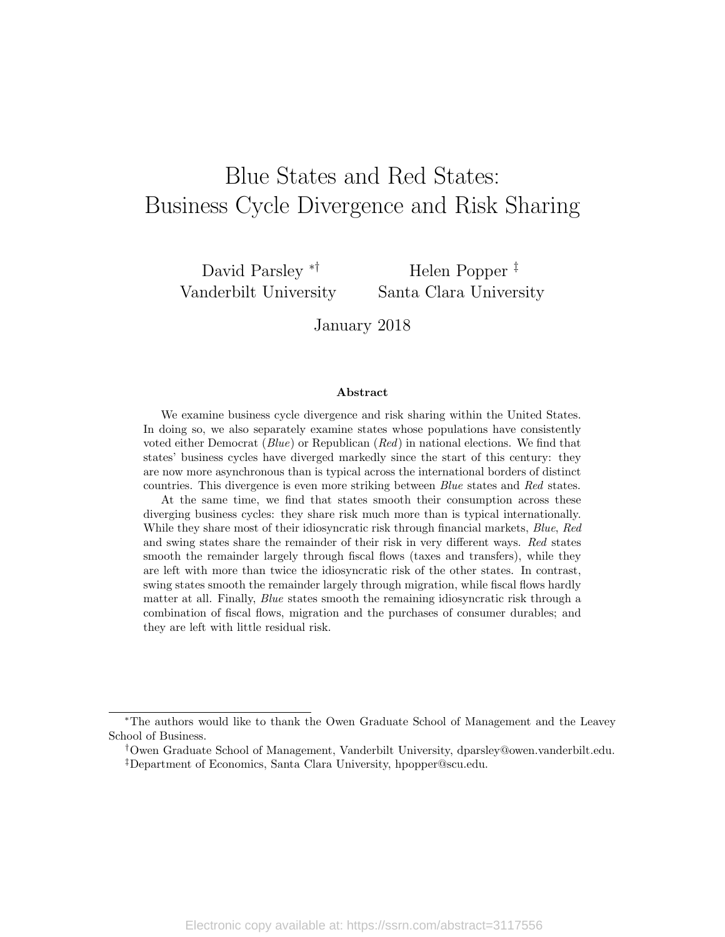# Blue States and Red States: Business Cycle Divergence and Risk Sharing

David Parsley ∗† Vanderbilt University

Helen Popper ‡ Santa Clara University

January 2018

#### Abstract

We examine business cycle divergence and risk sharing within the United States. In doing so, we also separately examine states whose populations have consistently voted either Democrat (Blue) or Republican (Red) in national elections. We find that states' business cycles have diverged markedly since the start of this century: they are now more asynchronous than is typical across the international borders of distinct countries. This divergence is even more striking between Blue states and Red states.

At the same time, we find that states smooth their consumption across these diverging business cycles: they share risk much more than is typical internationally. While they share most of their idiosyncratic risk through financial markets, Blue, Red and swing states share the remainder of their risk in very different ways. Red states smooth the remainder largely through fiscal flows (taxes and transfers), while they are left with more than twice the idiosyncratic risk of the other states. In contrast, swing states smooth the remainder largely through migration, while fiscal flows hardly matter at all. Finally, Blue states smooth the remaining idiosyncratic risk through a combination of fiscal flows, migration and the purchases of consumer durables; and they are left with little residual risk.

<sup>∗</sup>The authors would like to thank the Owen Graduate School of Management and the Leavey School of Business.

<sup>†</sup>Owen Graduate School of Management, Vanderbilt University, dparsley@owen.vanderbilt.edu. ‡Department of Economics, Santa Clara University, hpopper@scu.edu.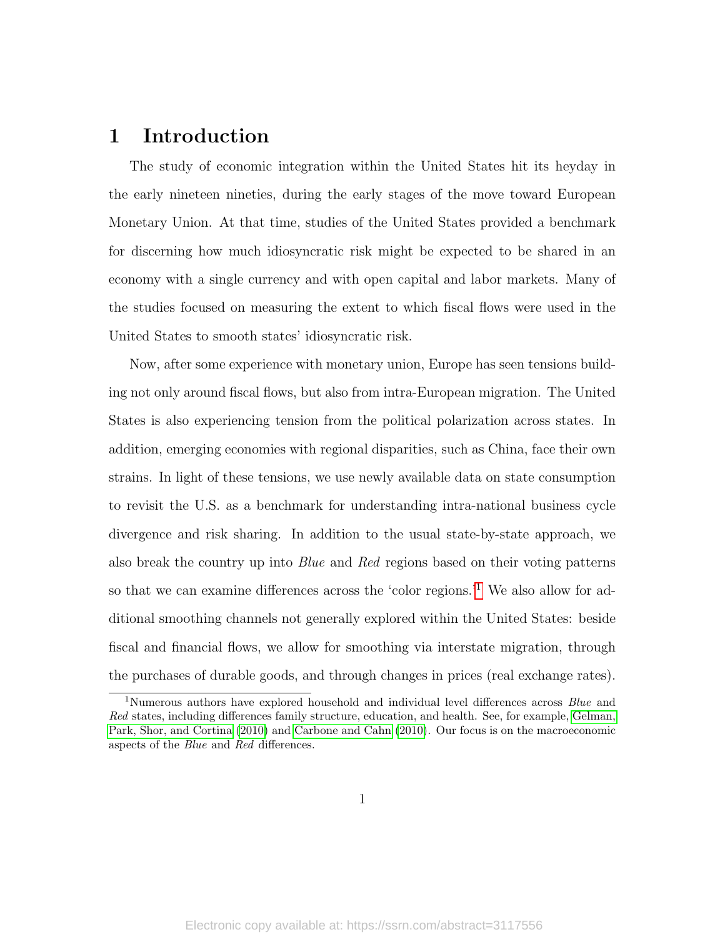### 1 Introduction

The study of economic integration within the United States hit its heyday in the early nineteen nineties, during the early stages of the move toward European Monetary Union. At that time, studies of the United States provided a benchmark for discerning how much idiosyncratic risk might be expected to be shared in an economy with a single currency and with open capital and labor markets. Many of the studies focused on measuring the extent to which fiscal flows were used in the United States to smooth states' idiosyncratic risk.

Now, after some experience with monetary union, Europe has seen tensions building not only around fiscal flows, but also from intra-European migration. The United States is also experiencing tension from the political polarization across states. In addition, emerging economies with regional disparities, such as China, face their own strains. In light of these tensions, we use newly available data on state consumption to revisit the U.S. as a benchmark for understanding intra-national business cycle divergence and risk sharing. In addition to the usual state-by-state approach, we also break the country up into Blue and Red regions based on their voting patterns so that we can examine differences across the 'color regions.'[1](#page-1-0) We also allow for additional smoothing channels not generally explored within the United States: beside fiscal and financial flows, we allow for smoothing via interstate migration, through the purchases of durable goods, and through changes in prices (real exchange rates).

<span id="page-1-0"></span><sup>&</sup>lt;sup>1</sup>Numerous authors have explored household and individual level differences across *Blue* and Red states, including differences family structure, education, and health. See, for example, [Gelman,](#page-24-0) [Park, Shor, and Cortina](#page-24-0) [\(2010\)](#page-24-0) and [Carbone and Cahn](#page-23-0) [\(2010\)](#page-23-0). Our focus is on the macroeconomic aspects of the Blue and Red differences.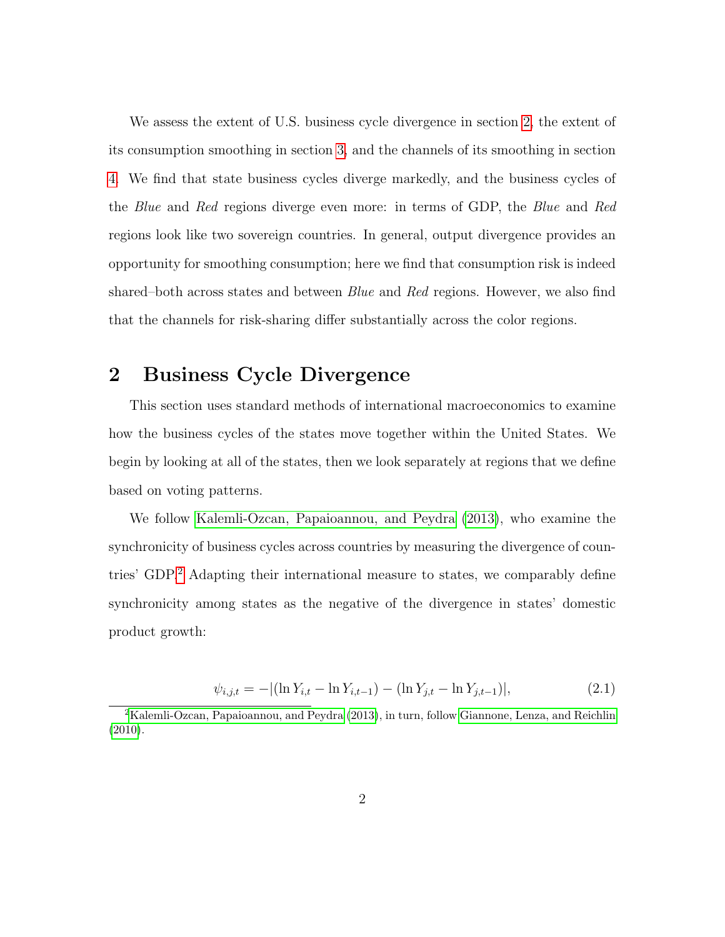We assess the extent of U.S. business cycle divergence in section [2,](#page-2-0) the extent of its consumption smoothing in section [3,](#page-6-0) and the channels of its smoothing in section [4.](#page-11-0) We find that state business cycles diverge markedly, and the business cycles of the Blue and Red regions diverge even more: in terms of GDP, the Blue and Red regions look like two sovereign countries. In general, output divergence provides an opportunity for smoothing consumption; here we find that consumption risk is indeed shared–both across states and between *Blue* and Red regions. However, we also find that the channels for risk-sharing differ substantially across the color regions.

### <span id="page-2-0"></span>2 Business Cycle Divergence

This section uses standard methods of international macroeconomics to examine how the business cycles of the states move together within the United States. We begin by looking at all of the states, then we look separately at regions that we define based on voting patterns.

We follow [Kalemli-Ozcan, Papaioannou, and Peydra](#page-24-1) [\(2013\)](#page-24-1), who examine the synchronicity of business cycles across countries by measuring the divergence of countries' GDP.[2](#page-2-1) Adapting their international measure to states, we comparably define synchronicity among states as the negative of the divergence in states' domestic product growth:

$$
\psi_{i,j,t} = - |(\ln Y_{i,t} - \ln Y_{i,t-1}) - (\ln Y_{j,t} - \ln Y_{j,t-1})|,
$$
\n(2.1)

<span id="page-2-1"></span><sup>2</sup>[Kalemli-Ozcan, Papaioannou, and Peydra](#page-24-1) [\(2013\)](#page-24-1), in turn, follow [Giannone, Lenza, and Reichlin](#page-24-2) [\(2010\)](#page-24-2).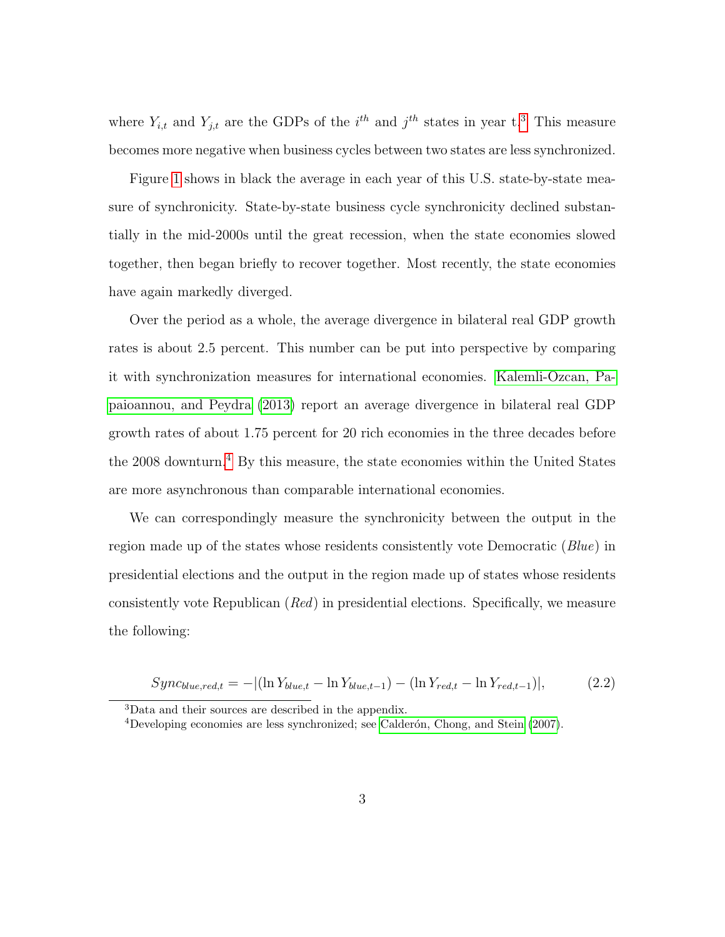where  $Y_{i,t}$  and  $Y_{j,t}$  are the GDPs of the  $i^{th}$  and  $j^{th}$  states in year t.<sup>[3](#page-3-0)</sup> This measure becomes more negative when business cycles between two states are less synchronized.

Figure [1](#page-4-0) shows in black the average in each year of this U.S. state-by-state measure of synchronicity. State-by-state business cycle synchronicity declined substantially in the mid-2000s until the great recession, when the state economies slowed together, then began briefly to recover together. Most recently, the state economies have again markedly diverged.

Over the period as a whole, the average divergence in bilateral real GDP growth rates is about 2.5 percent. This number can be put into perspective by comparing it with synchronization measures for international economies. [Kalemli-Ozcan, Pa](#page-24-1)[paioannou, and Peydra](#page-24-1) [\(2013\)](#page-24-1) report an average divergence in bilateral real GDP growth rates of about 1.75 percent for 20 rich economies in the three decades before the 2008 downturn.<sup>[4](#page-3-1)</sup> By this measure, the state economies within the United States are more asynchronous than comparable international economies.

We can correspondingly measure the synchronicity between the output in the region made up of the states whose residents consistently vote Democratic (Blue) in presidential elections and the output in the region made up of states whose residents consistently vote Republican (Red) in presidential elections. Specifically, we measure the following:

$$
Sync_{blue, red, t} = - |(\ln Y_{blue, t} - \ln Y_{blue, t-1}) - (\ln Y_{red, t} - \ln Y_{red, t-1})|,
$$
\n(2.2)

<span id="page-3-0"></span><sup>3</sup>Data and their sources are described in the appendix.

<span id="page-3-1"></span><sup>&</sup>lt;sup>4</sup>Developing economies are less synchronized; see Calderón, Chong, and Stein [\(2007\)](#page-23-1).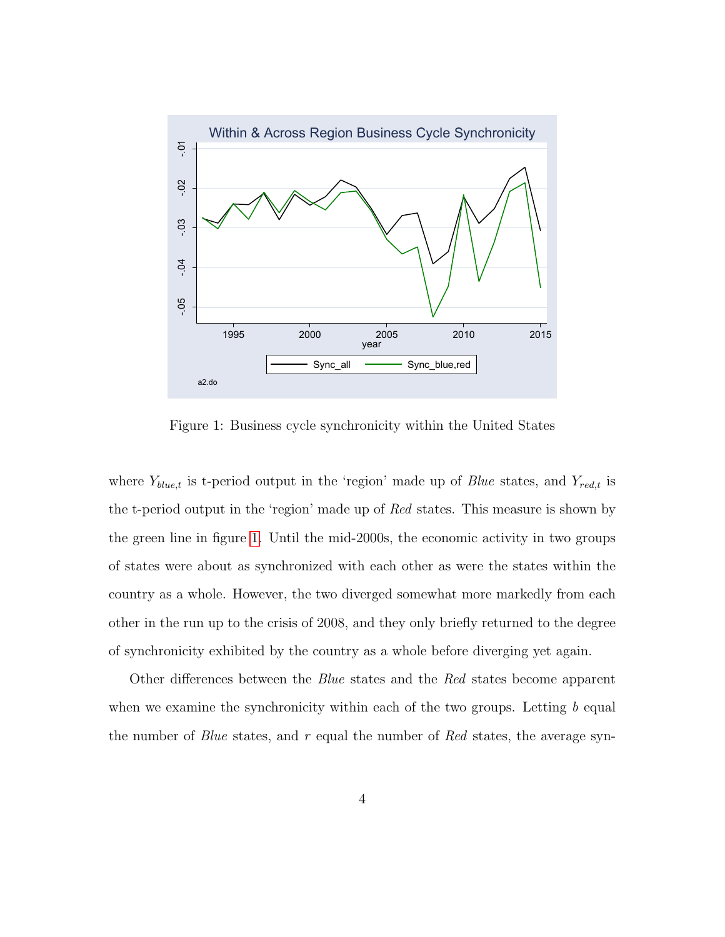

<span id="page-4-0"></span>Figure 1: Business cycle synchronicity within the United States

where  $Y_{blue,t}$  is t-period output in the 'region' made up of *Blue* states, and  $Y_{red,t}$  is the t-period output in the 'region' made up of Red states. This measure is shown by the green line in figure [1.](#page-4-0) Until the mid-2000s, the economic activity in two groups of states were about as synchronized with each other as were the states within the country as a whole. However, the two diverged somewhat more markedly from each other in the run up to the crisis of 2008, and they only briefly returned to the degree of synchronicity exhibited by the country as a whole before diverging yet again.

Other differences between the Blue states and the Red states become apparent when we examine the synchronicity within each of the two groups. Letting  $b$  equal the number of Blue states, and r equal the number of Red states, the average syn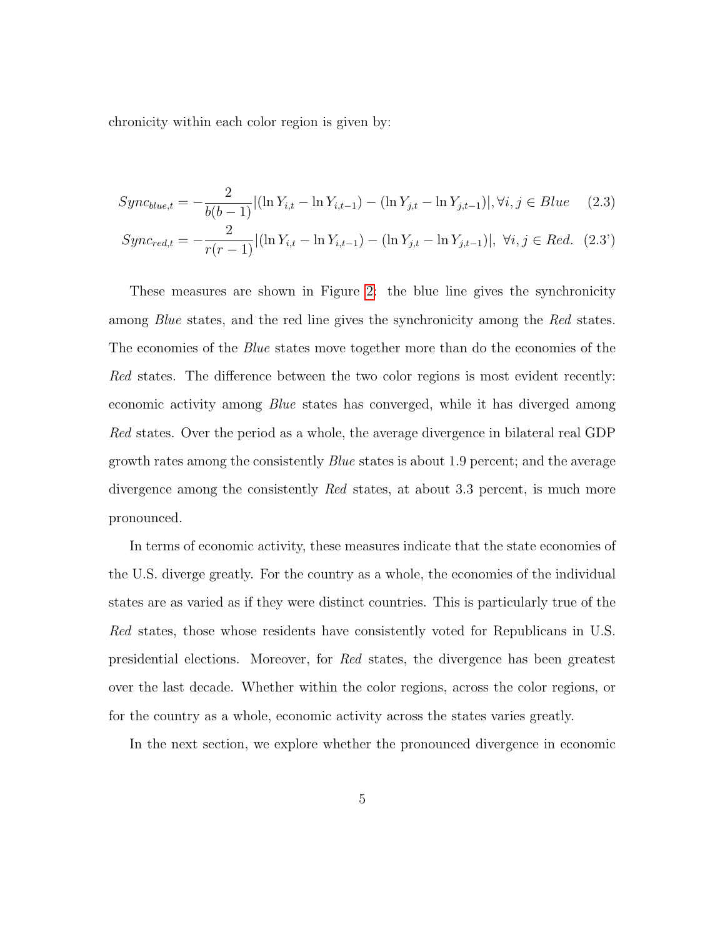chronicity within each color region is given by:

$$
Sync_{blue,t} = -\frac{2}{b(b-1)} |(\ln Y_{i,t} - \ln Y_{i,t-1}) - (\ln Y_{j,t} - \ln Y_{j,t-1})|, \forall i, j \in Blue \quad (2.3)
$$

$$
Sync_{red,t} = -\frac{2}{r(r-1)} |(\ln Y_{i,t} - \ln Y_{i,t-1}) - (\ln Y_{j,t} - \ln Y_{j,t-1})|, \ \forall i, j \in Red. \ (2.3')
$$

These measures are shown in Figure [2:](#page-6-1) the blue line gives the synchronicity among *Blue* states, and the red line gives the synchronicity among the Red states. The economies of the *Blue* states move together more than do the economies of the Red states. The difference between the two color regions is most evident recently: economic activity among Blue states has converged, while it has diverged among Red states. Over the period as a whole, the average divergence in bilateral real GDP growth rates among the consistently Blue states is about 1.9 percent; and the average divergence among the consistently Red states, at about 3.3 percent, is much more pronounced.

In terms of economic activity, these measures indicate that the state economies of the U.S. diverge greatly. For the country as a whole, the economies of the individual states are as varied as if they were distinct countries. This is particularly true of the Red states, those whose residents have consistently voted for Republicans in U.S. presidential elections. Moreover, for Red states, the divergence has been greatest over the last decade. Whether within the color regions, across the color regions, or for the country as a whole, economic activity across the states varies greatly.

In the next section, we explore whether the pronounced divergence in economic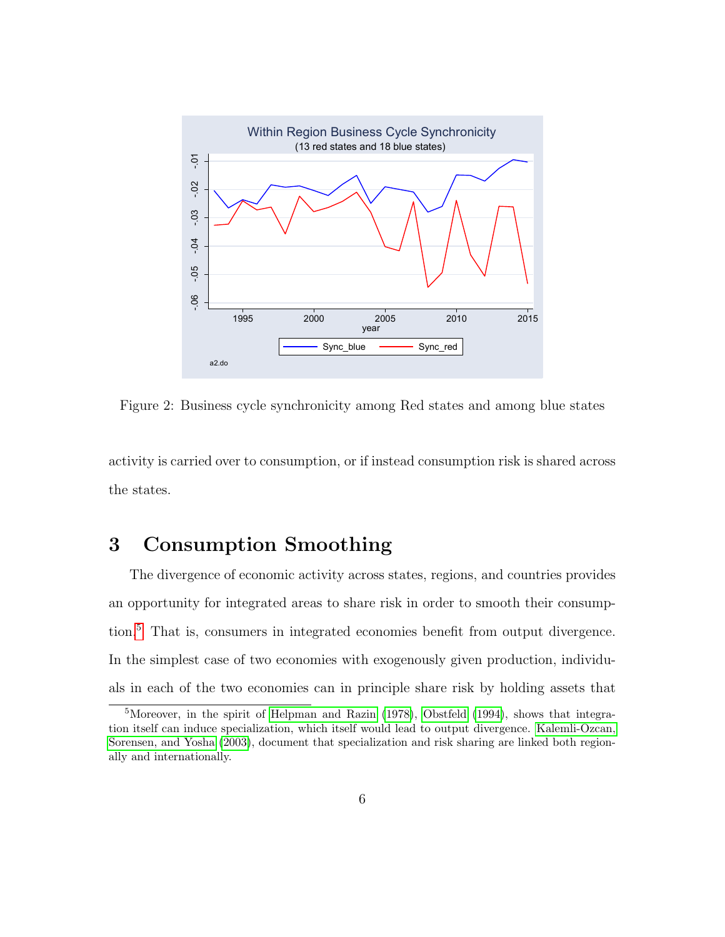

<span id="page-6-1"></span>Figure 2: Business cycle synchronicity among Red states and among blue states

<span id="page-6-0"></span>activity is carried over to consumption, or if instead consumption risk is shared across the states.

## 3 Consumption Smoothing

The divergence of economic activity across states, regions, and countries provides an opportunity for integrated areas to share risk in order to smooth their consumption.[5](#page-6-2) That is, consumers in integrated economies benefit from output divergence. In the simplest case of two economies with exogenously given production, individuals in each of the two economies can in principle share risk by holding assets that

<span id="page-6-2"></span><sup>5</sup>Moreover, in the spirit of [Helpman and Razin](#page-24-3) [\(1978\)](#page-24-3), [Obstfeld](#page-25-0) [\(1994\)](#page-25-0), shows that integration itself can induce specialization, which itself would lead to output divergence. [Kalemli-Ozcan,](#page-25-1) [Sorensen, and Yosha](#page-25-1) [\(2003\)](#page-25-1), document that specialization and risk sharing are linked both regionally and internationally.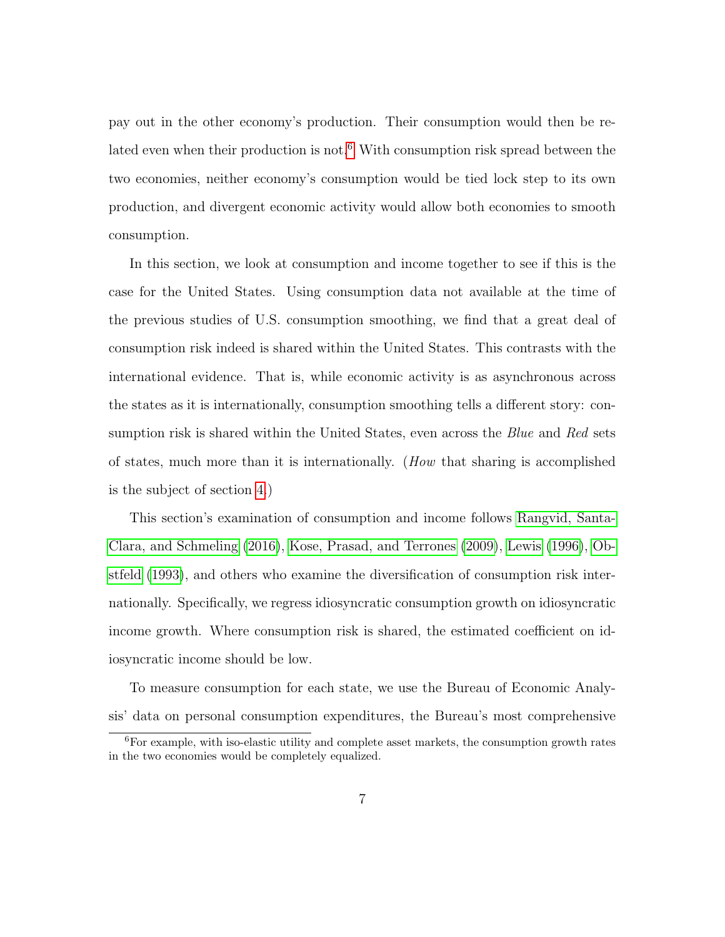pay out in the other economy's production. Their consumption would then be re-lated even when their production is not.<sup>[6](#page-7-0)</sup> With consumption risk spread between the two economies, neither economy's consumption would be tied lock step to its own production, and divergent economic activity would allow both economies to smooth consumption.

In this section, we look at consumption and income together to see if this is the case for the United States. Using consumption data not available at the time of the previous studies of U.S. consumption smoothing, we find that a great deal of consumption risk indeed is shared within the United States. This contrasts with the international evidence. That is, while economic activity is as asynchronous across the states as it is internationally, consumption smoothing tells a different story: consumption risk is shared within the United States, even across the *Blue* and Red sets of states, much more than it is internationally. (How that sharing is accomplished is the subject of section [4.](#page-11-0))

This section's examination of consumption and income follows [Rangvid, Santa-](#page-26-0)[Clara, and Schmeling](#page-26-0) [\(2016\)](#page-26-0), [Kose, Prasad, and Terrones](#page-25-2) [\(2009\)](#page-25-2), [Lewis](#page-25-3) [\(1996\)](#page-25-3), [Ob](#page-25-4)[stfeld](#page-25-4) [\(1993\)](#page-25-4), and others who examine the diversification of consumption risk internationally. Specifically, we regress idiosyncratic consumption growth on idiosyncratic income growth. Where consumption risk is shared, the estimated coefficient on idiosyncratic income should be low.

To measure consumption for each state, we use the Bureau of Economic Analysis' data on personal consumption expenditures, the Bureau's most comprehensive

<span id="page-7-0"></span> ${}^{6}$ For example, with iso-elastic utility and complete asset markets, the consumption growth rates in the two economies would be completely equalized.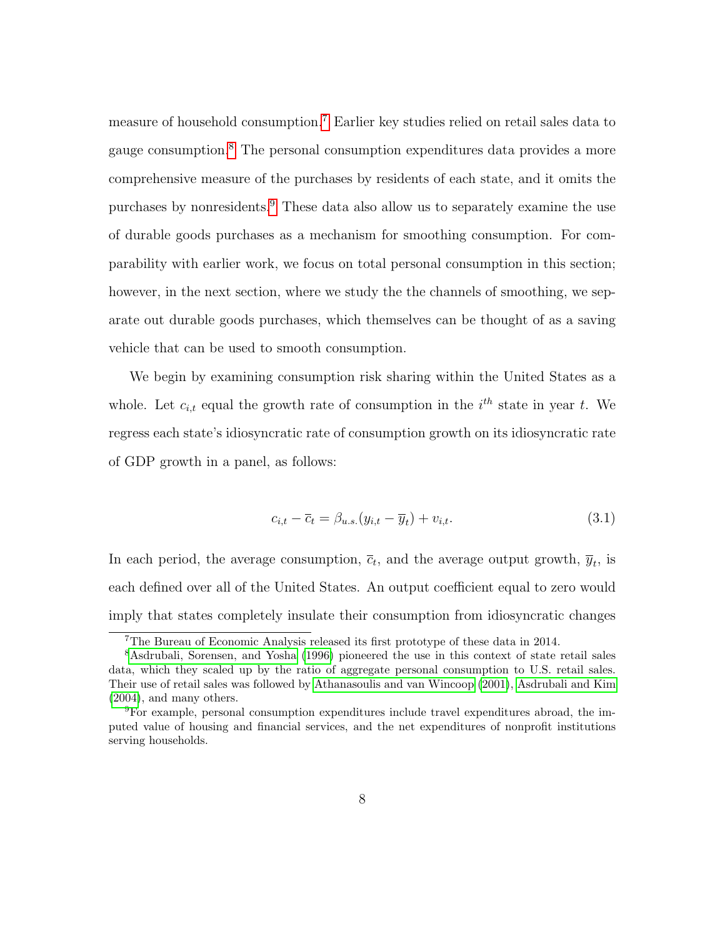measure of household consumption.[7](#page-8-0) Earlier key studies relied on retail sales data to gauge consumption.[8](#page-8-1) The personal consumption expenditures data provides a more comprehensive measure of the purchases by residents of each state, and it omits the purchases by nonresidents.[9](#page-8-2) These data also allow us to separately examine the use of durable goods purchases as a mechanism for smoothing consumption. For comparability with earlier work, we focus on total personal consumption in this section; however, in the next section, where we study the the channels of smoothing, we separate out durable goods purchases, which themselves can be thought of as a saving vehicle that can be used to smooth consumption.

We begin by examining consumption risk sharing within the United States as a whole. Let  $c_{i,t}$  equal the growth rate of consumption in the  $i^{th}$  state in year t. We regress each state's idiosyncratic rate of consumption growth on its idiosyncratic rate of GDP growth in a panel, as follows:

$$
c_{i,t} - \overline{c}_t = \beta_{u.s.}(y_{i,t} - \overline{y}_t) + v_{i,t}.
$$
\n
$$
(3.1)
$$

In each period, the average consumption,  $\bar{c}_t$ , and the average output growth,  $\bar{y}_t$ , is each defined over all of the United States. An output coefficient equal to zero would imply that states completely insulate their consumption from idiosyncratic changes

<span id="page-8-1"></span><span id="page-8-0"></span><sup>7</sup>The Bureau of Economic Analysis released its first prototype of these data in 2014.

<sup>&</sup>lt;sup>8</sup>[Asdrubali, Sorensen, and Yosha](#page-23-2) [\(1996\)](#page-23-2) pioneered the use in this context of state retail sales data, which they scaled up by the ratio of aggregate personal consumption to U.S. retail sales. Their use of retail sales was followed by [Athanasoulis and van Wincoop](#page-23-3) [\(2001\)](#page-23-3), [Asdrubali and Kim](#page-23-4) [\(2004\)](#page-23-4), and many others.

<span id="page-8-2"></span><sup>9</sup>For example, personal consumption expenditures include travel expenditures abroad, the imputed value of housing and financial services, and the net expenditures of nonprofit institutions serving households.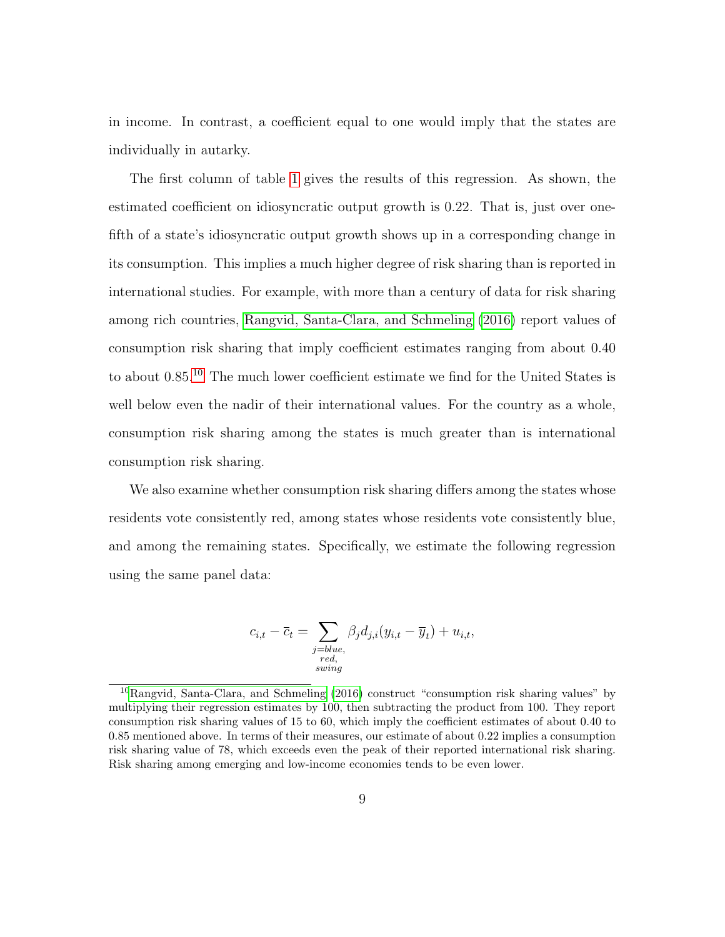in income. In contrast, a coefficient equal to one would imply that the states are individually in autarky.

The first column of table [1](#page-10-0) gives the results of this regression. As shown, the estimated coefficient on idiosyncratic output growth is 0.22. That is, just over onefifth of a state's idiosyncratic output growth shows up in a corresponding change in its consumption. This implies a much higher degree of risk sharing than is reported in international studies. For example, with more than a century of data for risk sharing among rich countries, [Rangvid, Santa-Clara, and Schmeling](#page-26-0) [\(2016\)](#page-26-0) report values of consumption risk sharing that imply coefficient estimates ranging from about 0.40 to about 0.85.[10](#page-9-0) The much lower coefficient estimate we find for the United States is well below even the nadir of their international values. For the country as a whole, consumption risk sharing among the states is much greater than is international consumption risk sharing.

We also examine whether consumption risk sharing differs among the states whose residents vote consistently red, among states whose residents vote consistently blue, and among the remaining states. Specifically, we estimate the following regression using the same panel data:

$$
c_{i,t} - \overline{c}_t = \sum_{\substack{j = blue, \\ red, \\ swing}} \beta_j d_{j,i} (y_{i,t} - \overline{y}_t) + u_{i,t},
$$

<span id="page-9-0"></span><sup>10</sup>[Rangvid, Santa-Clara, and Schmeling](#page-26-0) [\(2016\)](#page-26-0) construct "consumption risk sharing values" by multiplying their regression estimates by 100, then subtracting the product from 100. They report consumption risk sharing values of 15 to 60, which imply the coefficient estimates of about 0.40 to 0.85 mentioned above. In terms of their measures, our estimate of about 0.22 implies a consumption risk sharing value of 78, which exceeds even the peak of their reported international risk sharing. Risk sharing among emerging and low-income economies tends to be even lower.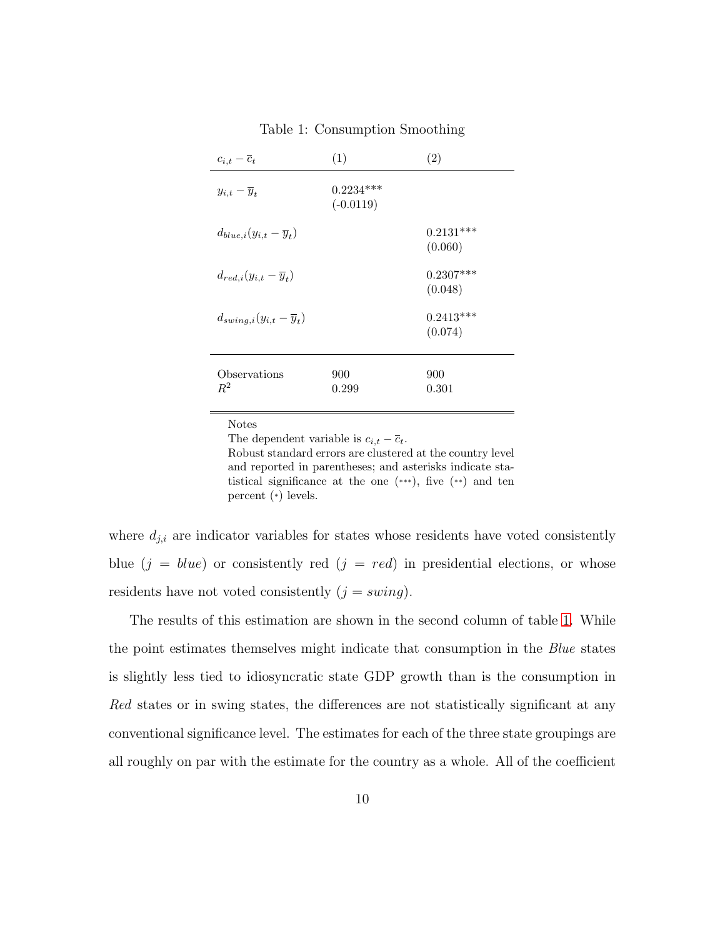| $c_{i,t}-\overline{c}_t$                | (1)                        | (2)                    |
|-----------------------------------------|----------------------------|------------------------|
| $y_{i,t} - \overline{y}_t$              | $0.2234***$<br>$(-0.0119)$ |                        |
| $d_{blue,i}(y_{i,t}-\overline{y}_t)$    |                            | $0.2131***$<br>(0.060) |
| $d_{red,i}(y_{i,t}-\overline{y}_t)$     |                            | $0.2307***$<br>(0.048) |
| $d_{swing,i}(y_{i,t}-\overline{y}_{t})$ |                            | $0.2413***$<br>(0.074) |
| Observations<br>$R^2$                   | 900<br>0.299               | 900<br>0.301           |

<span id="page-10-0"></span>Table 1: Consumption Smoothing

Notes

The dependent variable is  $c_{i,t} - \overline{c}_t$ . Robust standard errors are clustered at the country level and reported in parentheses; and asterisks indicate statistical significance at the one (\*\*\*), five (\*\*) and ten percent (\*) levels.

where  $d_{j,i}$  are indicator variables for states whose residents have voted consistently blue  $(j = blue)$  or consistently red  $(j = red)$  in presidential elections, or whose residents have not voted consistently  $(j = swing)$ .

The results of this estimation are shown in the second column of table [1.](#page-10-0) While the point estimates themselves might indicate that consumption in the *Blue* states is slightly less tied to idiosyncratic state GDP growth than is the consumption in Red states or in swing states, the differences are not statistically significant at any conventional significance level. The estimates for each of the three state groupings are all roughly on par with the estimate for the country as a whole. All of the coefficient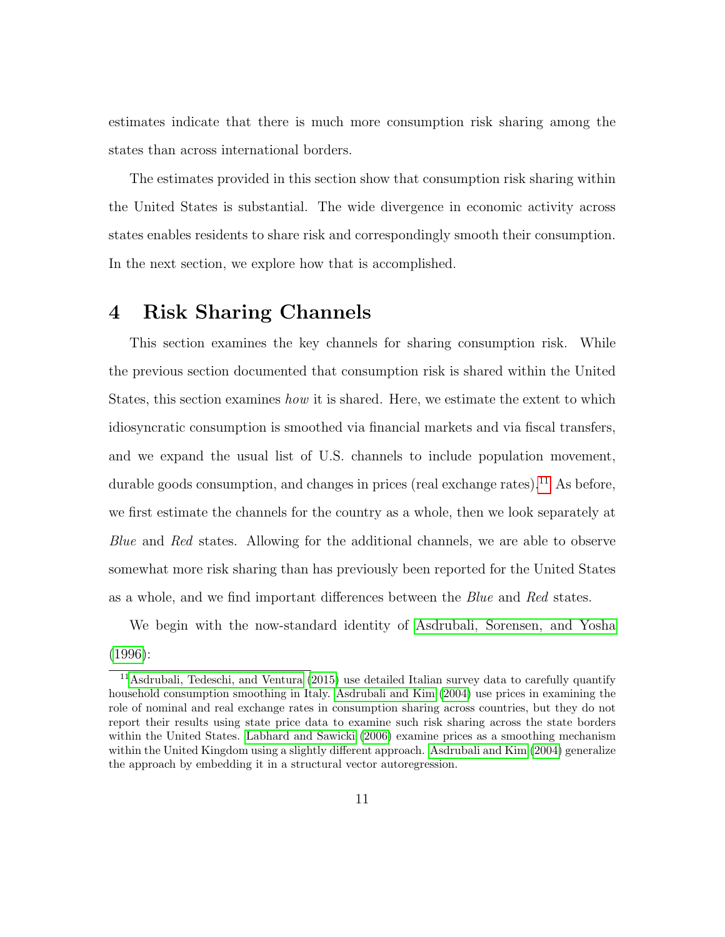estimates indicate that there is much more consumption risk sharing among the states than across international borders.

The estimates provided in this section show that consumption risk sharing within the United States is substantial. The wide divergence in economic activity across states enables residents to share risk and correspondingly smooth their consumption. In the next section, we explore how that is accomplished.

### <span id="page-11-0"></span>4 Risk Sharing Channels

This section examines the key channels for sharing consumption risk. While the previous section documented that consumption risk is shared within the United States, this section examines how it is shared. Here, we estimate the extent to which idiosyncratic consumption is smoothed via financial markets and via fiscal transfers, and we expand the usual list of U.S. channels to include population movement, durable goods consumption, and changes in prices (real exchange rates).<sup>[11](#page-11-1)</sup> As before, we first estimate the channels for the country as a whole, then we look separately at Blue and Red states. Allowing for the additional channels, we are able to observe somewhat more risk sharing than has previously been reported for the United States as a whole, and we find important differences between the Blue and Red states.

We begin with the now-standard identity of [Asdrubali, Sorensen, and Yosha](#page-23-2) [\(1996\)](#page-23-2):

<span id="page-11-1"></span><sup>&</sup>lt;sup>11</sup>[Asdrubali, Tedeschi, and Ventura](#page-23-5)  $(2015)$  use detailed Italian survey data to carefully quantify household consumption smoothing in Italy. [Asdrubali and Kim](#page-23-4) [\(2004\)](#page-23-4) use prices in examining the role of nominal and real exchange rates in consumption sharing across countries, but they do not report their results using state price data to examine such risk sharing across the state borders within the United States. [Labhard and Sawicki](#page-25-5) [\(2006\)](#page-25-5) examine prices as a smoothing mechanism within the United Kingdom using a slightly different approach. [Asdrubali and Kim](#page-23-4) [\(2004\)](#page-23-4) generalize the approach by embedding it in a structural vector autoregression.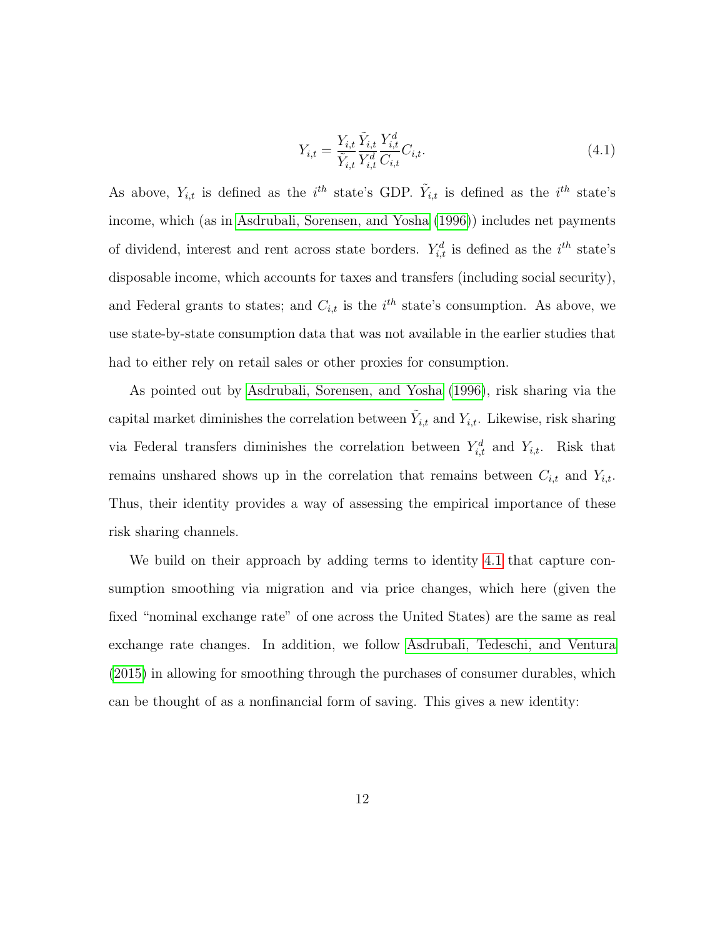<span id="page-12-0"></span>
$$
Y_{i,t} = \frac{Y_{i,t}}{\tilde{Y}_{i,t}} \frac{\tilde{Y}_{i,t}}{Y_{i,t}^d} \frac{Y_{i,t}^d}{C_{i,t}} C_{i,t}.
$$
\n(4.1)

As above,  $Y_{i,t}$  is defined as the i<sup>th</sup> state's GDP.  $\tilde{Y}_{i,t}$  is defined as the i<sup>th</sup> state's income, which (as in [Asdrubali, Sorensen, and Yosha](#page-23-2) [\(1996\)](#page-23-2)) includes net payments of dividend, interest and rent across state borders.  $Y_{i,t}^d$  is defined as the  $i^{th}$  state's disposable income, which accounts for taxes and transfers (including social security), and Federal grants to states; and  $C_{i,t}$  is the  $i^{th}$  state's consumption. As above, we use state-by-state consumption data that was not available in the earlier studies that had to either rely on retail sales or other proxies for consumption.

As pointed out by [Asdrubali, Sorensen, and Yosha](#page-23-2) [\(1996\)](#page-23-2), risk sharing via the capital market diminishes the correlation between  $\tilde{Y}_{i,t}$  and  $Y_{i,t}$ . Likewise, risk sharing via Federal transfers diminishes the correlation between  $Y_{i,t}^d$  and  $Y_{i,t}$ . Risk that remains unshared shows up in the correlation that remains between  $C_{i,t}$  and  $Y_{i,t}$ . Thus, their identity provides a way of assessing the empirical importance of these risk sharing channels.

We build on their approach by adding terms to identity [4.1](#page-12-0) that capture consumption smoothing via migration and via price changes, which here (given the fixed "nominal exchange rate" of one across the United States) are the same as real exchange rate changes. In addition, we follow [Asdrubali, Tedeschi, and Ventura](#page-23-5) [\(2015\)](#page-23-5) in allowing for smoothing through the purchases of consumer durables, which can be thought of as a nonfinancial form of saving. This gives a new identity: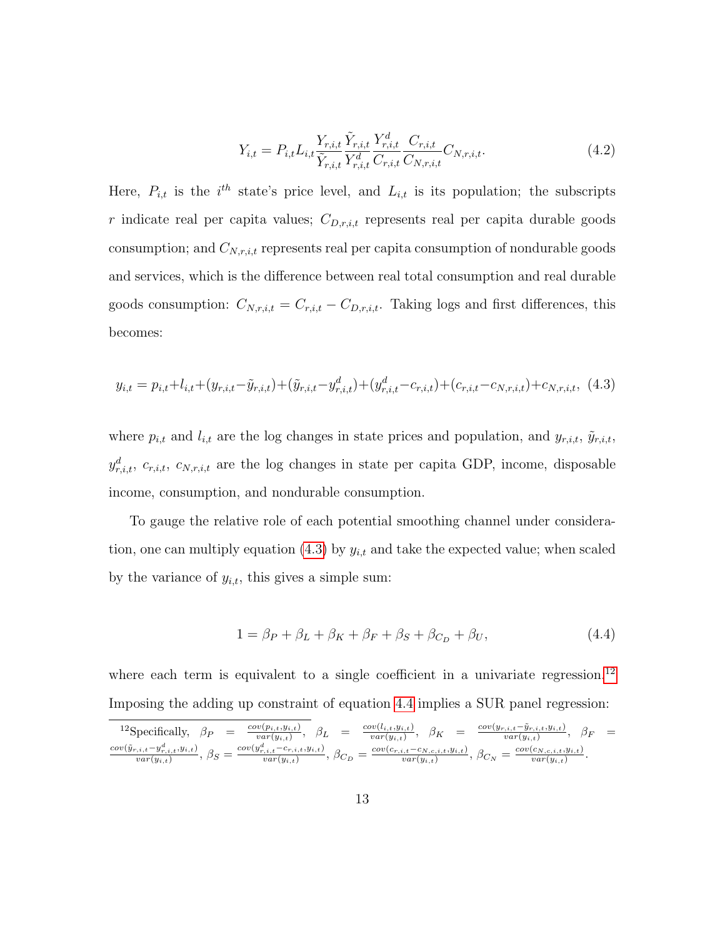$$
Y_{i,t} = P_{i,t} L_{i,t} \frac{Y_{r,i,t}}{\tilde{Y}_{r,i,t}} \frac{\tilde{Y}_{r,i,t}}{Y_{r,i,t}^d} \frac{C_{r,i,t}}{C_{r,i,t}} C_{N,r,i,t}.
$$
\n(4.2)

Here,  $P_{i,t}$  is the i<sup>th</sup> state's price level, and  $L_{i,t}$  is its population; the subscripts r indicate real per capita values;  $C_{D,r,i,t}$  represents real per capita durable goods consumption; and  $C_{N,r,i,t}$  represents real per capita consumption of nondurable goods and services, which is the difference between real total consumption and real durable goods consumption:  $C_{N,r,i,t} = C_{r,i,t} - C_{D,r,i,t}$ . Taking logs and first differences, this becomes:

<span id="page-13-0"></span>
$$
y_{i,t} = p_{i,t} + l_{i,t} + (y_{r,i,t} - \tilde{y}_{r,i,t}) + (\tilde{y}_{r,i,t} - y_{r,i,t}^d) + (y_{r,i,t}^d - c_{r,i,t}) + (c_{r,i,t} - c_{N,r,i,t}) + c_{N,r,i,t},
$$
(4.3)

where  $p_{i,t}$  and  $l_{i,t}$  are the log changes in state prices and population, and  $y_{r,i,t}$ ,  $\tilde{y}_{r,i,t}$ ,  $y_{r,i,t}^d$ ,  $c_{r,i,t}$ ,  $c_{N,r,i,t}$  are the log changes in state per capita GDP, income, disposable income, consumption, and nondurable consumption.

To gauge the relative role of each potential smoothing channel under considera-tion, one can multiply equation [\(4.3\)](#page-13-0) by  $y_{i,t}$  and take the expected value; when scaled by the variance of  $y_{i,t}$ , this gives a simple sum:

<span id="page-13-2"></span>
$$
1 = \beta_P + \beta_L + \beta_K + \beta_F + \beta_S + \beta_{C_D} + \beta_U, \qquad (4.4)
$$

where each term is equivalent to a single coefficient in a univariate regression.<sup>[12](#page-13-1)</sup> Imposing the adding up constraint of equation [4.4](#page-13-2) implies a SUR panel regression:

<span id="page-13-1"></span>
$$
{}^{12}\text{Specifically, } \beta_P = \frac{cov(p_{i,t}, y_{i,t})}{var(y_{i,t})}, \ \beta_L = \frac{cov(l_{i,t}, y_{i,t})}{var(y_{i,t})}, \ \beta_K = \frac{cov(y_{r,i,t} - \tilde{y}_{r,i,t}, y_{i,t})}{var(y_{i,t})}, \ \beta_F = \frac{cov(y_{r,i,t} - \tilde{y}_{r,i,t}, y_{i,t})}{var(y_{i,t})}, \ \beta_F = \frac{cov(y_{r,i,t} - \tilde{y}_{r,i,t}, y_{i,t})}{var(y_{i,t})}, \ \beta_G = \frac{cov(c_{r,i,t} - c_{N,c,i,t}, y_{i,t})}{var(y_{i,t})}, \ \beta_{C_N} = \frac{cov(c_{N,c,i,t}, y_{i,t})}{var(y_{i,t})}.
$$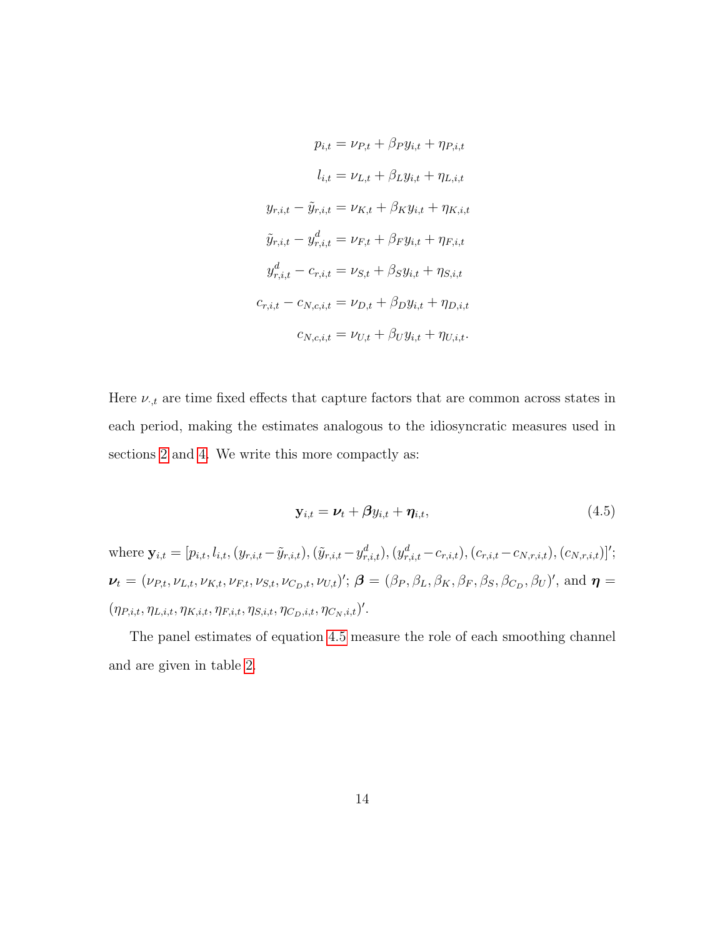$$
p_{i,t} = \nu_{P,t} + \beta_P y_{i,t} + \eta_{P,i,t}
$$

$$
l_{i,t} = \nu_{L,t} + \beta_L y_{i,t} + \eta_{L,i,t}
$$

$$
y_{r,i,t} - \tilde{y}_{r,i,t} = \nu_{K,t} + \beta_K y_{i,t} + \eta_{K,i,t}
$$

$$
\tilde{y}_{r,i,t} - y_{r,i,t}^d = \nu_{F,t} + \beta_F y_{i,t} + \eta_{F,i,t}
$$

$$
y_{r,i,t}^d - c_{r,i,t} = \nu_{S,t} + \beta_S y_{i,t} + \eta_{S,i,t}
$$

$$
c_{r,i,t} - c_{N,c,i,t} = \nu_{D,t} + \beta_D y_{i,t} + \eta_{D,i,t}
$$

$$
c_{N,c,i,t} = \nu_{U,t} + \beta_U y_{i,t} + \eta_{U,i,t}.
$$

Here  $\nu_{\cdot,t}$  are time fixed effects that capture factors that are common across states in each period, making the estimates analogous to the idiosyncratic measures used in sections [2](#page-2-0) and [4.](#page-11-0) We write this more compactly as:

<span id="page-14-0"></span>
$$
\mathbf{y}_{i,t} = \boldsymbol{\nu}_t + \boldsymbol{\beta} y_{i,t} + \boldsymbol{\eta}_{i,t},\tag{4.5}
$$

where  $\mathbf{y}_{i,t} = [p_{i,t}, l_{i,t}, (y_{r,i,t} - \tilde{y}_{r,i,t}),(\tilde{y}_{r,i,t} - y_{r,i,t}^d), (y_{r,i,t}^d - c_{r,i,t}), (c_{r,i,t} - c_{N,r,i,t}), (c_{N,r,i,t})]^T$ ;  $\nu_t = (\nu_{P,t}, \nu_{L,t}, \nu_{K,t}, \nu_{F,t}, \nu_{S,t}, \nu_{C_D,t}, \nu_{U,t})'; \ \boldsymbol{\beta} = (\beta_P, \beta_L, \beta_K, \beta_F, \beta_S, \beta_{C_D}, \beta_U)', \text{ and } \boldsymbol{\eta} =$  $(\eta_{P,i,t}, \eta_{L,i,t}, \eta_{K,i,t}, \eta_{F,i,t}, \eta_{S,i,t}, \eta_{C_D,i,t}, \eta_{C_N,i,t})'.$ 

The panel estimates of equation [4.5](#page-14-0) measure the role of each smoothing channel and are given in table [2.](#page-16-0)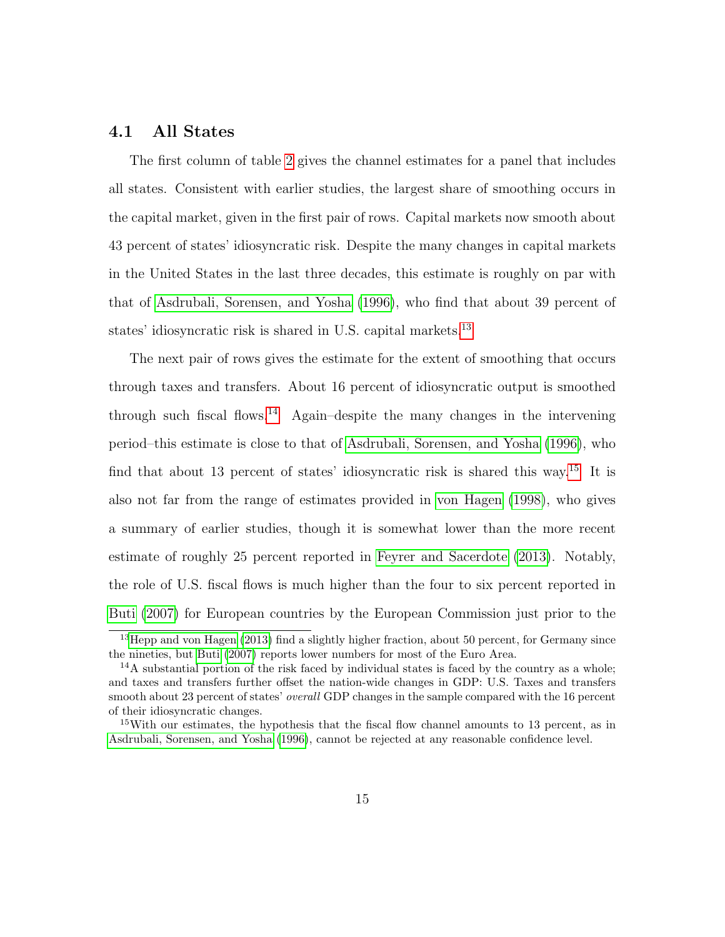#### 4.1 All States

The first column of table [2](#page-16-0) gives the channel estimates for a panel that includes all states. Consistent with earlier studies, the largest share of smoothing occurs in the capital market, given in the first pair of rows. Capital markets now smooth about 43 percent of states' idiosyncratic risk. Despite the many changes in capital markets in the United States in the last three decades, this estimate is roughly on par with that of [Asdrubali, Sorensen, and Yosha](#page-23-2) [\(1996\)](#page-23-2), who find that about 39 percent of states' idiosyncratic risk is shared in U.S. capital markets.<sup>[13](#page-15-0)</sup>

The next pair of rows gives the estimate for the extent of smoothing that occurs through taxes and transfers. About 16 percent of idiosyncratic output is smoothed through such fiscal flows.<sup>[14](#page-15-1)</sup> Again–despite the many changes in the intervening period–this estimate is close to that of [Asdrubali, Sorensen, and Yosha](#page-23-2) [\(1996\)](#page-23-2), who find that about 13 percent of states' idiosyncratic risk is shared this way.[15](#page-15-2) It is also not far from the range of estimates provided in [von Hagen](#page-26-1) [\(1998\)](#page-26-1), who gives a summary of earlier studies, though it is somewhat lower than the more recent estimate of roughly 25 percent reported in [Feyrer and Sacerdote](#page-24-4) [\(2013\)](#page-24-4). Notably, the role of U.S. fiscal flows is much higher than the four to six percent reported in [Buti](#page-23-6) [\(2007\)](#page-23-6) for European countries by the European Commission just prior to the

<span id="page-15-0"></span><sup>&</sup>lt;sup>13</sup>[Hepp and von Hagen](#page-24-5) [\(2013\)](#page-24-5) find a slightly higher fraction, about 50 percent, for Germany since the nineties, but [Buti](#page-23-6) [\(2007\)](#page-23-6) reports lower numbers for most of the Euro Area.

<span id="page-15-1"></span> $14A$  substantial portion of the risk faced by individual states is faced by the country as a whole; and taxes and transfers further offset the nation-wide changes in GDP: U.S. Taxes and transfers smooth about 23 percent of states' overall GDP changes in the sample compared with the 16 percent of their idiosyncratic changes.

<span id="page-15-2"></span><sup>&</sup>lt;sup>15</sup>With our estimates, the hypothesis that the fiscal flow channel amounts to 13 percent, as in [Asdrubali, Sorensen, and Yosha](#page-23-2) [\(1996\)](#page-23-2), cannot be rejected at any reasonable confidence level.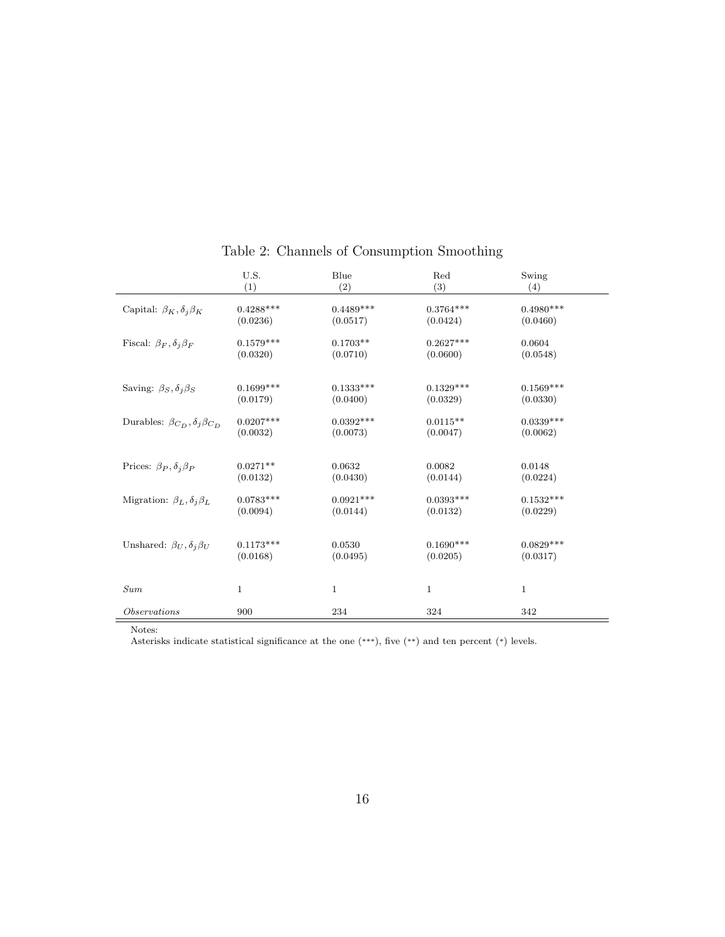|                                               | U.S.        | Blue         | Red          | Swing        |  |
|-----------------------------------------------|-------------|--------------|--------------|--------------|--|
|                                               | (1)         | (2)          | (3)          | (4)          |  |
| Capital: $\beta_K, \delta_j \beta_K$          | $0.4288***$ | $0.4489***$  | $0.3764***$  | $0.4980***$  |  |
|                                               | (0.0236)    | (0.0517)     | (0.0424)     | (0.0460)     |  |
| Fiscal: $\beta_F, \delta_j \beta_F$           | $0.1579***$ | $0.1703**$   | $0.2627***$  | 0.0604       |  |
|                                               | (0.0320)    | (0.0710)     | (0.0600)     | (0.0548)     |  |
| Saving: $\beta_S, \delta_j \beta_S$           | $0.1699***$ | $0.1333***$  | $0.1329***$  | $0.1569***$  |  |
|                                               | (0.0179)    | (0.0400)     | (0.0329)     | (0.0330)     |  |
| Durables: $\beta_{C_D}, \delta_j \beta_{C_D}$ | $0.0207***$ | $0.0392***$  | $0.0115**$   | $0.0339***$  |  |
|                                               | (0.0032)    | (0.0073)     | (0.0047)     | (0.0062)     |  |
| Prices: $\beta_P, \delta_j \beta_P$           | $0.0271**$  | 0.0632       | 0.0082       | 0.0148       |  |
|                                               | (0.0132)    | (0.0430)     | (0.0144)     | (0.0224)     |  |
| Migration: $\beta_L, \delta_j \beta_L$        | $0.0783***$ | $0.0921***$  | $0.0393***$  | $0.1532***$  |  |
|                                               | (0.0094)    | (0.0144)     | (0.0132)     | (0.0229)     |  |
|                                               | $0.1173***$ | 0.0530       | $0.1690***$  | $0.0829***$  |  |
| Unshared: $\beta_U, \delta_j \beta_U$         | (0.0168)    | (0.0495)     | (0.0205)     | (0.0317)     |  |
|                                               |             |              |              |              |  |
| <b>Sum</b>                                    | $\mathbf 1$ | $\mathbf{1}$ | $\mathbf{1}$ | $\mathbf{1}$ |  |
| <i>Observations</i>                           | 900         | 234          | 324          | 342          |  |

<span id="page-16-0"></span>Table 2: Channels of Consumption Smoothing

Notes:

Asterisks indicate statistical significance at the one (\*\*\*), five (\*\*) and ten percent (\*) levels.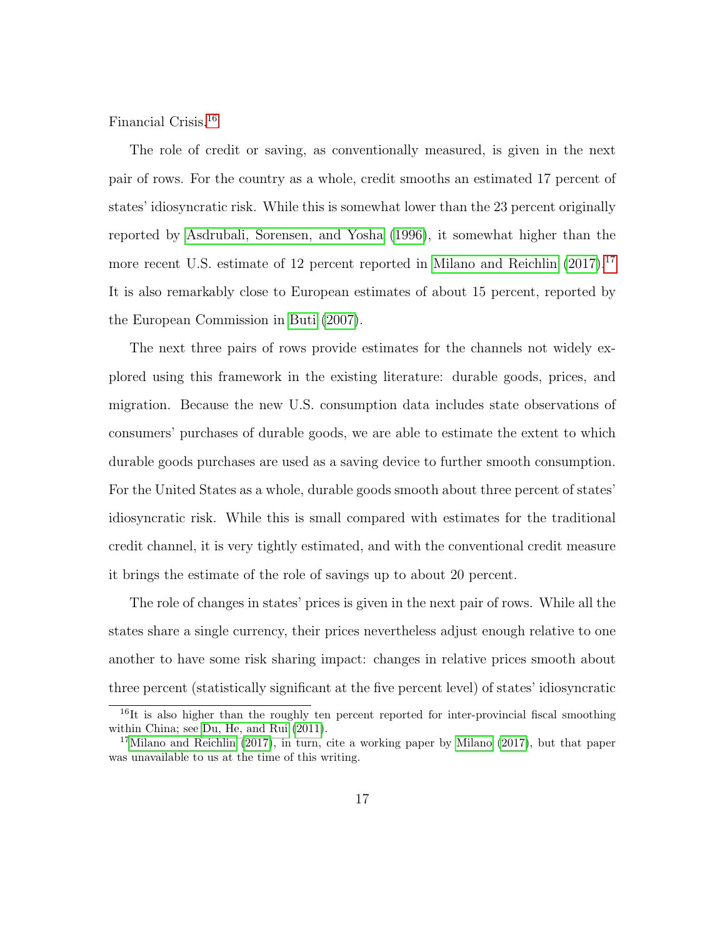Financial Crisis.[16](#page-17-0)

The role of credit or saving, as conventionally measured, is given in the next pair of rows. For the country as a whole, credit smooths an estimated 17 percent of states' idiosyncratic risk. While this is somewhat lower than the 23 percent originally reported by [Asdrubali, Sorensen, and Yosha](#page-23-2) [\(1996\)](#page-23-2), it somewhat higher than the more recent U.S. estimate of 12 percent reported in [Milano and Reichlin](#page-25-6) [\(2017\)](#page-25-6).<sup>[17](#page-17-1)</sup> It is also remarkably close to European estimates of about 15 percent, reported by the European Commission in [Buti](#page-23-6) [\(2007\)](#page-23-6).

The next three pairs of rows provide estimates for the channels not widely explored using this framework in the existing literature: durable goods, prices, and migration. Because the new U.S. consumption data includes state observations of consumers' purchases of durable goods, we are able to estimate the extent to which durable goods purchases are used as a saving device to further smooth consumption. For the United States as a whole, durable goods smooth about three percent of states' idiosyncratic risk. While this is small compared with estimates for the traditional credit channel, it is very tightly estimated, and with the conventional credit measure it brings the estimate of the role of savings up to about 20 percent.

The role of changes in states' prices is given in the next pair of rows. While all the states share a single currency, their prices nevertheless adjust enough relative to one another to have some risk sharing impact: changes in relative prices smooth about three percent (statistically significant at the five percent level) of states' idiosyncratic

<span id="page-17-0"></span><sup>&</sup>lt;sup>16</sup>It is also higher than the roughly ten percent reported for inter-provincial fiscal smoothing within China; see [Du, He, and Rui](#page-24-6) [\(2011\)](#page-24-6).

<span id="page-17-1"></span><sup>&</sup>lt;sup>17</sup>[Milano and Reichlin](#page-25-6) [\(2017\)](#page-25-7), in turn, cite a working paper by [Milano](#page-25-7) (2017), but that paper was unavailable to us at the time of this writing.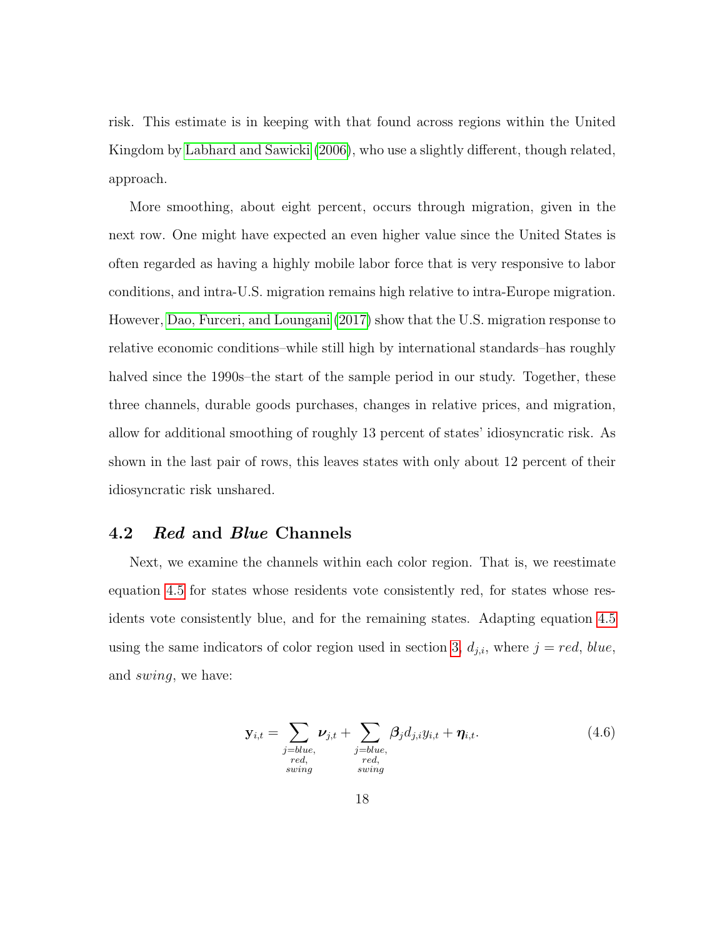risk. This estimate is in keeping with that found across regions within the United Kingdom by [Labhard and Sawicki](#page-25-5) [\(2006\)](#page-25-5), who use a slightly different, though related, approach.

More smoothing, about eight percent, occurs through migration, given in the next row. One might have expected an even higher value since the United States is often regarded as having a highly mobile labor force that is very responsive to labor conditions, and intra-U.S. migration remains high relative to intra-Europe migration. However, [Dao, Furceri, and Loungani](#page-24-7) [\(2017\)](#page-24-7) show that the U.S. migration response to relative economic conditions–while still high by international standards–has roughly halved since the 1990s–the start of the sample period in our study. Together, these three channels, durable goods purchases, changes in relative prices, and migration, allow for additional smoothing of roughly 13 percent of states' idiosyncratic risk. As shown in the last pair of rows, this leaves states with only about 12 percent of their idiosyncratic risk unshared.

### 4.2 Red and Blue Channels

Next, we examine the channels within each color region. That is, we reestimate equation [4.5](#page-14-0) for states whose residents vote consistently red, for states whose residents vote consistently blue, and for the remaining states. Adapting equation [4.5](#page-14-0) using the same indicators of color region used in section [3,](#page-6-0)  $d_{j,i}$ , where  $j = red$ , blue, and swing, we have:

$$
\mathbf{y}_{i,t} = \sum_{\substack{j=blue, \\ red, \\ red, \\ swing}} \nu_{j,t} + \sum_{\substack{j=blue, \\ red, \\ red, \\ swing}} \beta_j d_{j,i} y_{i,t} + \eta_{i,t}.
$$
 (4.6)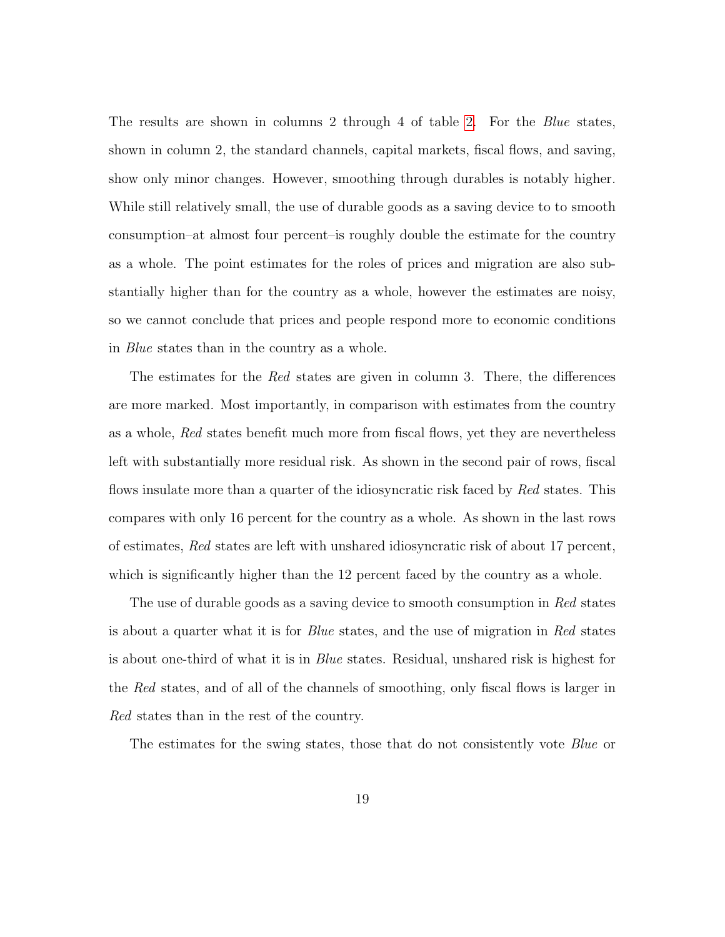The results are shown in columns 2 through 4 of table [2.](#page-16-0) For the *Blue* states, shown in column 2, the standard channels, capital markets, fiscal flows, and saving, show only minor changes. However, smoothing through durables is notably higher. While still relatively small, the use of durable goods as a saving device to to smooth consumption–at almost four percent–is roughly double the estimate for the country as a whole. The point estimates for the roles of prices and migration are also substantially higher than for the country as a whole, however the estimates are noisy, so we cannot conclude that prices and people respond more to economic conditions in Blue states than in the country as a whole.

The estimates for the Red states are given in column 3. There, the differences are more marked. Most importantly, in comparison with estimates from the country as a whole, Red states benefit much more from fiscal flows, yet they are nevertheless left with substantially more residual risk. As shown in the second pair of rows, fiscal flows insulate more than a quarter of the idiosyncratic risk faced by Red states. This compares with only 16 percent for the country as a whole. As shown in the last rows of estimates, Red states are left with unshared idiosyncratic risk of about 17 percent, which is significantly higher than the 12 percent faced by the country as a whole.

The use of durable goods as a saving device to smooth consumption in Red states is about a quarter what it is for Blue states, and the use of migration in Red states is about one-third of what it is in Blue states. Residual, unshared risk is highest for the Red states, and of all of the channels of smoothing, only fiscal flows is larger in Red states than in the rest of the country.

The estimates for the swing states, those that do not consistently vote Blue or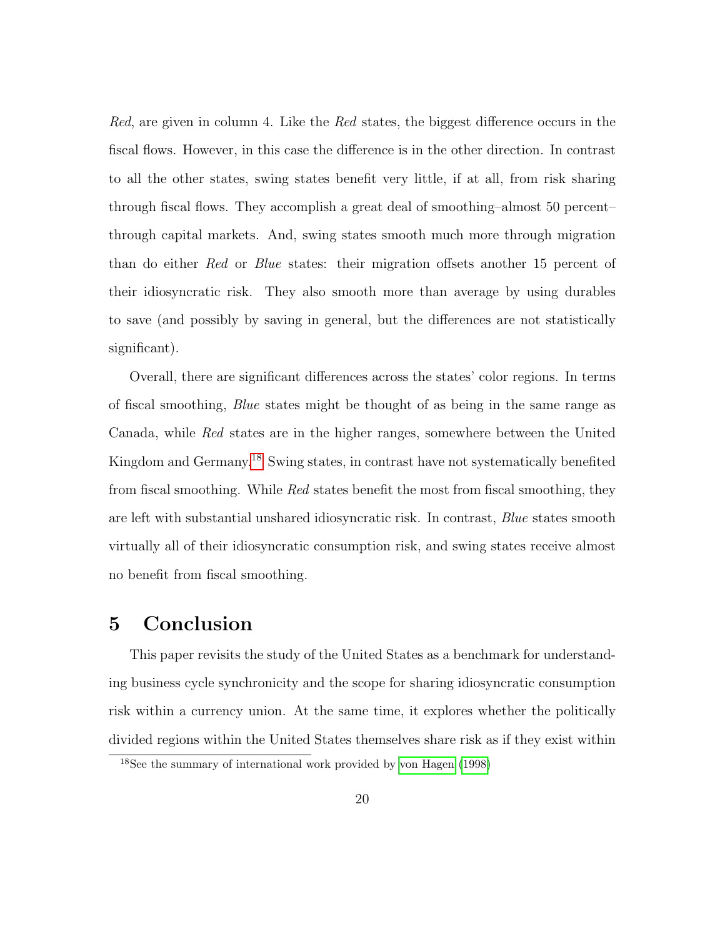Red, are given in column 4. Like the Red states, the biggest difference occurs in the fiscal flows. However, in this case the difference is in the other direction. In contrast to all the other states, swing states benefit very little, if at all, from risk sharing through fiscal flows. They accomplish a great deal of smoothing–almost 50 percent– through capital markets. And, swing states smooth much more through migration than do either Red or Blue states: their migration offsets another 15 percent of their idiosyncratic risk. They also smooth more than average by using durables to save (and possibly by saving in general, but the differences are not statistically significant).

Overall, there are significant differences across the states' color regions. In terms of fiscal smoothing, Blue states might be thought of as being in the same range as Canada, while Red states are in the higher ranges, somewhere between the United Kingdom and Germany.[18](#page-20-0) Swing states, in contrast have not systematically benefited from fiscal smoothing. While Red states benefit the most from fiscal smoothing, they are left with substantial unshared idiosyncratic risk. In contrast, Blue states smooth virtually all of their idiosyncratic consumption risk, and swing states receive almost no benefit from fiscal smoothing.

### 5 Conclusion

This paper revisits the study of the United States as a benchmark for understanding business cycle synchronicity and the scope for sharing idiosyncratic consumption risk within a currency union. At the same time, it explores whether the politically divided regions within the United States themselves share risk as if they exist within

<span id="page-20-0"></span><sup>18</sup>See the summary of international work provided by [von Hagen](#page-26-1) [\(1998\)](#page-26-1)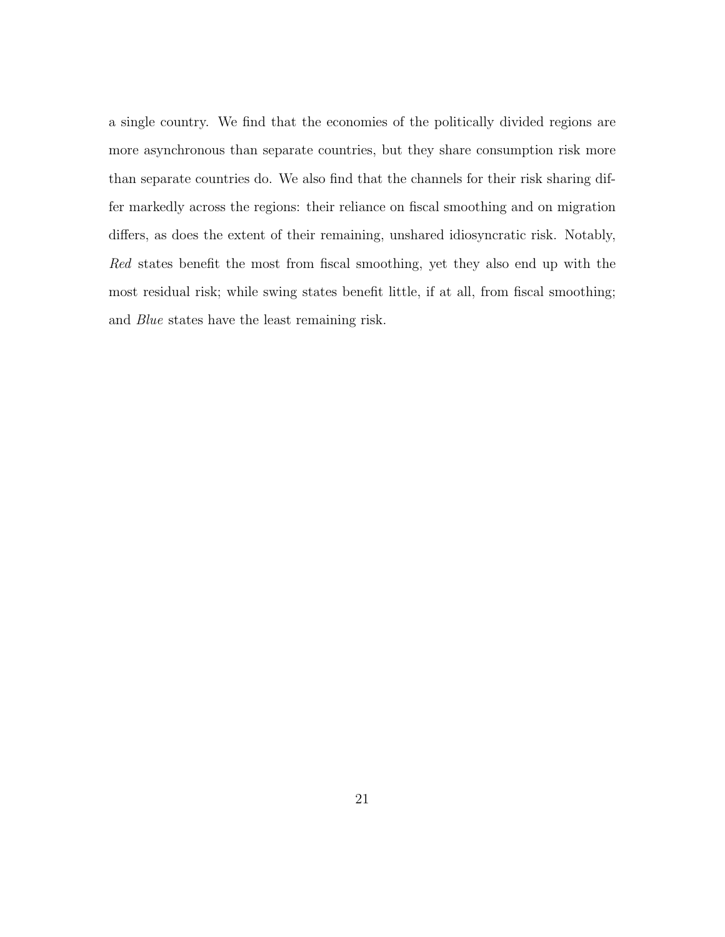a single country. We find that the economies of the politically divided regions are more asynchronous than separate countries, but they share consumption risk more than separate countries do. We also find that the channels for their risk sharing differ markedly across the regions: their reliance on fiscal smoothing and on migration differs, as does the extent of their remaining, unshared idiosyncratic risk. Notably, Red states benefit the most from fiscal smoothing, yet they also end up with the most residual risk; while swing states benefit little, if at all, from fiscal smoothing; and Blue states have the least remaining risk.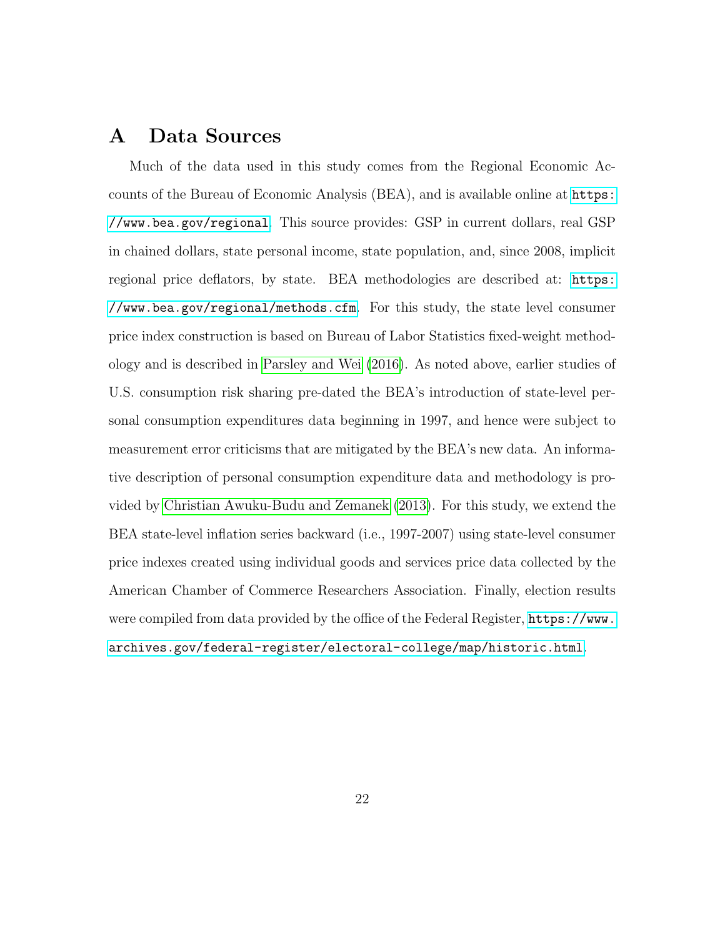### A Data Sources

Much of the data used in this study comes from the Regional Economic Accounts of the Bureau of Economic Analysis (BEA), and is available online at [https:](https://www.bea.gov/regional) [//www.bea.gov/regional](https://www.bea.gov/regional). This source provides: GSP in current dollars, real GSP in chained dollars, state personal income, state population, and, since 2008, implicit regional price deflators, by state. BEA methodologies are described at: [https:](https://www.bea.gov/regional/methods.cfm) [//www.bea.gov/regional/methods.cfm](https://www.bea.gov/regional/methods.cfm). For this study, the state level consumer price index construction is based on Bureau of Labor Statistics fixed-weight methodology and is described in [Parsley and Wei](#page-25-8) [\(2016\)](#page-25-8). As noted above, earlier studies of U.S. consumption risk sharing pre-dated the BEA's introduction of state-level personal consumption expenditures data beginning in 1997, and hence were subject to measurement error criticisms that are mitigated by the BEA's new data. An informative description of personal consumption expenditure data and methodology is provided by [Christian Awuku-Budu and Zemanek](#page-23-7) [\(2013\)](#page-23-7). For this study, we extend the BEA state-level inflation series backward (i.e., 1997-2007) using state-level consumer price indexes created using individual goods and services price data collected by the American Chamber of Commerce Researchers Association. Finally, election results were compiled from data provided by the office of the Federal Register, [https://www.](https://www.archives.gov/federal-register/electoral-college/map/historic.html) [archives.gov/federal-register/electoral-college/map/historic.html](https://www.archives.gov/federal-register/electoral-college/map/historic.html).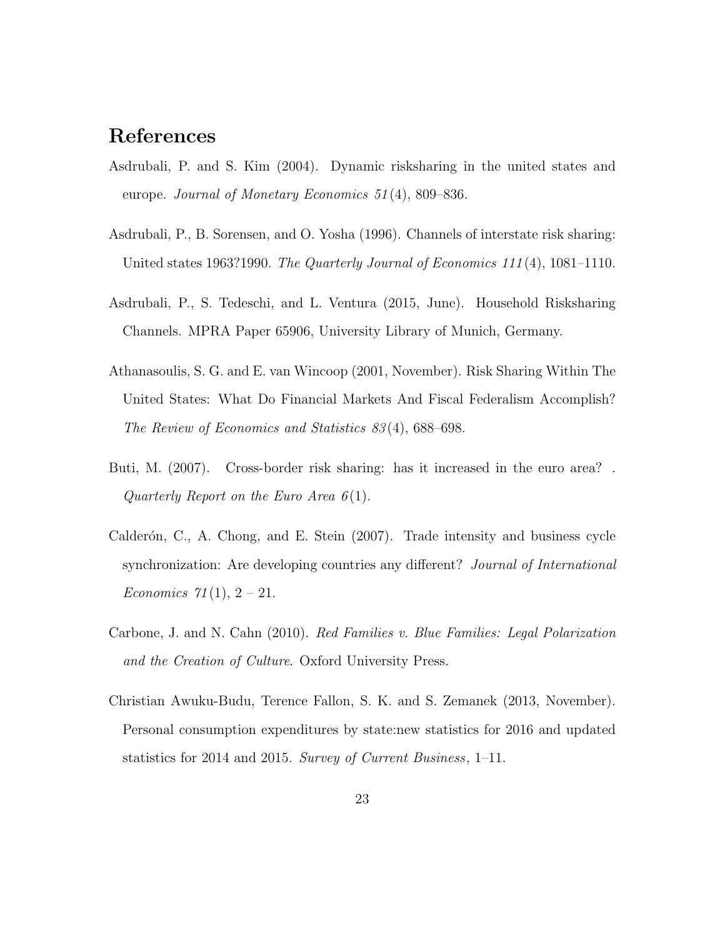## <span id="page-23-4"></span>References

- Asdrubali, P. and S. Kim (2004). Dynamic risksharing in the united states and europe. Journal of Monetary Economics 51 (4), 809–836.
- <span id="page-23-2"></span>Asdrubali, P., B. Sorensen, and O. Yosha (1996). Channels of interstate risk sharing: United states 1963?1990. The Quarterly Journal of Economics  $111(4)$ , 1081–1110.
- <span id="page-23-5"></span>Asdrubali, P., S. Tedeschi, and L. Ventura (2015, June). Household Risksharing Channels. MPRA Paper 65906, University Library of Munich, Germany.
- <span id="page-23-3"></span>Athanasoulis, S. G. and E. van Wincoop (2001, November). Risk Sharing Within The United States: What Do Financial Markets And Fiscal Federalism Accomplish? The Review of Economics and Statistics 83 (4), 688–698.
- <span id="page-23-6"></span>Buti, M. (2007). Cross-border risk sharing: has it increased in the euro area? . Quarterly Report on the Euro Area  $6(1)$ .
- <span id="page-23-1"></span>Calderón, C., A. Chong, and E. Stein  $(2007)$ . Trade intensity and business cycle synchronization: Are developing countries any different? Journal of International *Economics* 71(1),  $2 - 21$ .
- <span id="page-23-0"></span>Carbone, J. and N. Cahn (2010). Red Families v. Blue Families: Legal Polarization and the Creation of Culture. Oxford University Press.
- <span id="page-23-7"></span>Christian Awuku-Budu, Terence Fallon, S. K. and S. Zemanek (2013, November). Personal consumption expenditures by state:new statistics for 2016 and updated statistics for 2014 and 2015. Survey of Current Business, 1–11.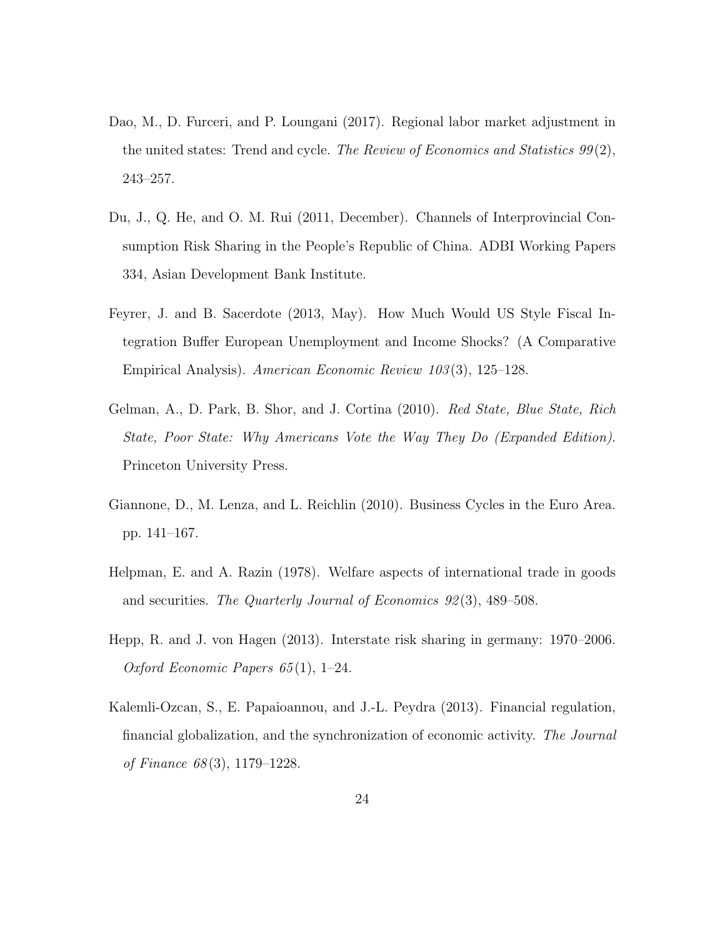- <span id="page-24-7"></span>Dao, M., D. Furceri, and P. Loungani (2017). Regional labor market adjustment in the united states: Trend and cycle. The Review of Economics and Statistics  $99(2)$ , 243–257.
- <span id="page-24-6"></span>Du, J., Q. He, and O. M. Rui (2011, December). Channels of Interprovincial Consumption Risk Sharing in the People's Republic of China. ADBI Working Papers 334, Asian Development Bank Institute.
- <span id="page-24-4"></span>Feyrer, J. and B. Sacerdote (2013, May). How Much Would US Style Fiscal Integration Buffer European Unemployment and Income Shocks? (A Comparative Empirical Analysis). American Economic Review 103 (3), 125–128.
- <span id="page-24-0"></span>Gelman, A., D. Park, B. Shor, and J. Cortina (2010). Red State, Blue State, Rich State, Poor State: Why Americans Vote the Way They Do (Expanded Edition). Princeton University Press.
- <span id="page-24-2"></span>Giannone, D., M. Lenza, and L. Reichlin (2010). Business Cycles in the Euro Area. pp. 141–167.
- <span id="page-24-3"></span>Helpman, E. and A. Razin (1978). Welfare aspects of international trade in goods and securities. The Quarterly Journal of Economics 92(3), 489–508.
- <span id="page-24-5"></span>Hepp, R. and J. von Hagen (2013). Interstate risk sharing in germany: 1970–2006. Oxford Economic Papers 65 (1), 1–24.
- <span id="page-24-1"></span>Kalemli-Ozcan, S., E. Papaioannou, and J.-L. Peydra (2013). Financial regulation, financial globalization, and the synchronization of economic activity. The Journal of Finance 68 (3), 1179–1228.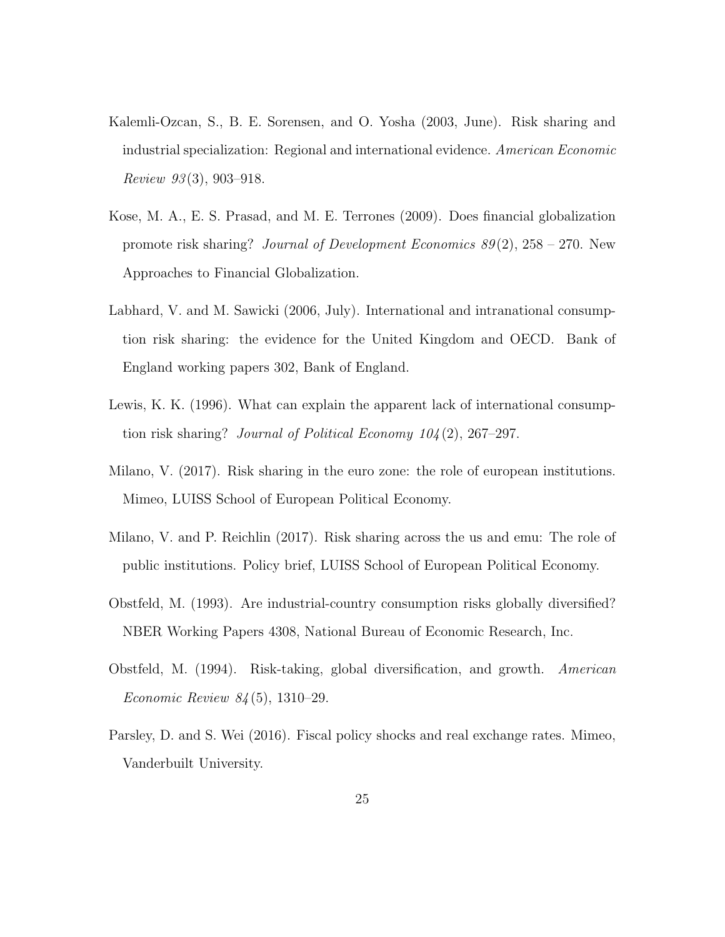- <span id="page-25-1"></span>Kalemli-Ozcan, S., B. E. Sorensen, and O. Yosha (2003, June). Risk sharing and industrial specialization: Regional and international evidence. American Economic Review  $93(3)$ , 903-918.
- <span id="page-25-2"></span>Kose, M. A., E. S. Prasad, and M. E. Terrones (2009). Does financial globalization promote risk sharing? Journal of Development Economics  $89(2)$ ,  $258 - 270$ . New Approaches to Financial Globalization.
- <span id="page-25-5"></span>Labhard, V. and M. Sawicki (2006, July). International and intranational consumption risk sharing: the evidence for the United Kingdom and OECD. Bank of England working papers 302, Bank of England.
- <span id="page-25-3"></span>Lewis, K. K. (1996). What can explain the apparent lack of international consumption risk sharing? Journal of Political Economy 104 (2), 267–297.
- <span id="page-25-7"></span>Milano, V. (2017). Risk sharing in the euro zone: the role of european institutions. Mimeo, LUISS School of European Political Economy.
- <span id="page-25-6"></span>Milano, V. and P. Reichlin (2017). Risk sharing across the us and emu: The role of public institutions. Policy brief, LUISS School of European Political Economy.
- <span id="page-25-4"></span>Obstfeld, M. (1993). Are industrial-country consumption risks globally diversified? NBER Working Papers 4308, National Bureau of Economic Research, Inc.
- <span id="page-25-0"></span>Obstfeld, M. (1994). Risk-taking, global diversification, and growth. American Economic Review 84 (5), 1310–29.
- <span id="page-25-8"></span>Parsley, D. and S. Wei (2016). Fiscal policy shocks and real exchange rates. Mimeo, Vanderbuilt University.